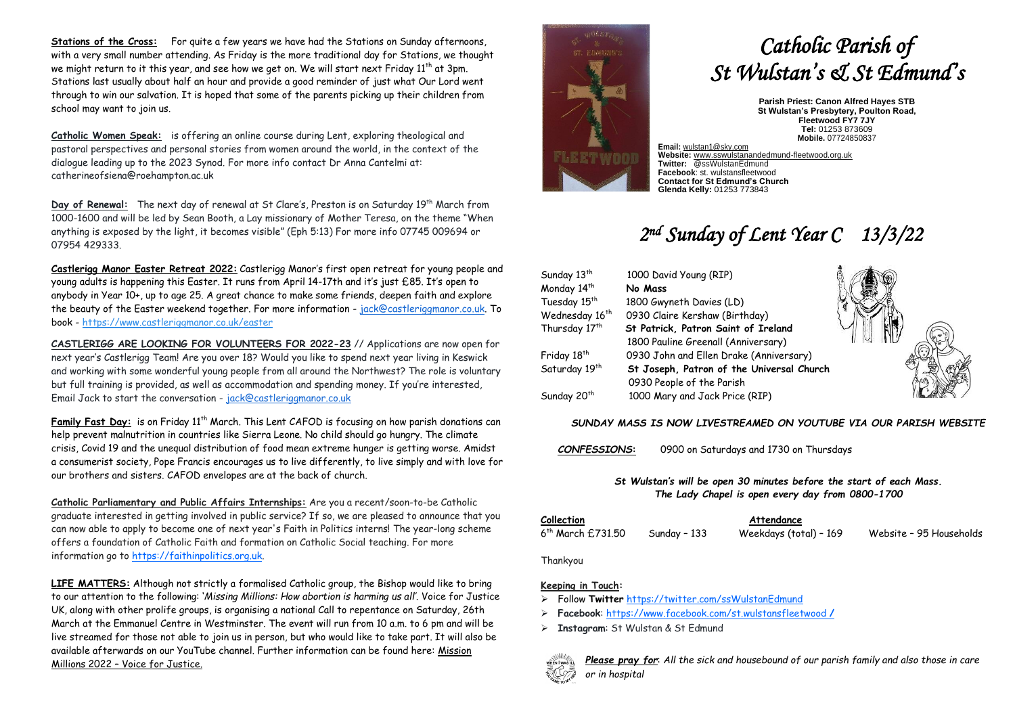**Stations of the Cross:** For quite a few years we have had the Stations on Sunday afternoons, with a very small number attending. As Friday is the more traditional day for Stations, we thought we might return to it this year, and see how we get on. We will start next Friday 11th at 3pm. Stations last usually about half an hour and provide a good reminder of just what Our Lord went through to win our salvation. It is hoped that some of the parents picking up their children from school may want to join us.

**Catholic Women Speak:** is offering an online course during Lent, exploring theological and pastoral perspectives and personal stories from women around the world, in the context of the dialogue leading up to the 2023 Synod. For more info contact Dr Anna Cantelmi at: catherineofsiena@roehampton.ac.uk

Day of Renewal: The next day of renewal at St Clare's, Preston is on Saturday 19<sup>th</sup> March from 1000-1600 and will be led by Sean Booth, a Lay missionary of Mother Teresa, on the theme "When anything is exposed by the light, it becomes visible" (Eph 5:13) For more info 07745 009694 or 07954 429333.

**Castlerigg Manor Easter Retreat 2022:** Castlerigg Manor's first open retreat for young people and young adults is happening this Easter. It runs from April 14-17th and it's just £85. It's open to anybody in Year 10+, up to age 25. A great chance to make some friends, deepen faith and explore the beauty of the Easter weekend together. For more information - [jack@castleriggmanor.co.uk.](mailto:jack@castleriggmanor.co.uk) To book - <https://www.castleriggmanor.co.uk/easter>

**CASTLERIGG ARE LOOKING FOR VOLUNTEERS FOR 2022-23** // Applications are now open for next year's Castlerigg Team! Are you over 18? Would you like to spend next year living in Keswick and working with some wonderful young people from all around the Northwest? The role is voluntary but full training is provided, as well as accommodation and spending money. If you're interested, Email Jack to start the conversation - [jack@castleriggmanor.co.uk](mailto:jack@castleriggmanor.co.uk)

**Family Fast Day:** is on Friday 11th March. This Lent CAFOD is focusing on how parish donations can help prevent malnutrition in countries like Sierra Leone. No child should go hungry. The climate crisis, Covid 19 and the unequal distribution of food mean extreme hunger is getting worse. Amidst a consumerist society, Pope Francis encourages us to live differently, to live simply and with love for our brothers and sisters. CAFOD envelopes are at the back of church.

**Catholic Parliamentary and Public Affairs Internships:** Are you a recent/soon-to-be Catholic graduate interested in getting involved in public service? If so, we are pleased to announce that you can now able to apply to become one of next year's Faith in Politics interns! The year-long scheme offers a foundation of Catholic Faith and formation on Catholic Social teaching. For more information go t[o https://faithinpolitics.org.uk.](https://faithinpolitics.org.uk/)

**LIFE MATTERS:** Although not strictly a formalised Catholic group, the Bishop would like to bring to our attention to the following: '*Missing Millions: How abortion is harming us all'.* Voice for Justice UK, along with other prolife groups, is organising a national Call to repentance on Saturday, 26th March at the Emmanuel Centre in Westminster. The event will run from 10 a.m. to 6 pm and will be live streamed for those not able to join us in person, but who would like to take part. It will also be available afterwards on our YouTube channel. Further information can be found here: Mission Millions 2022 – Voice for Justice.



# *Catholic Parish of St Wulstan's & St Edmund's*

**Parish Priest: Canon Alfred Hayes STB St Wulstan's Presbytery, Poulton Road, Fleetwood FY7 7JY Tel:** 01253 873609 **Mobile.** 07724850837

**Email:** [wulstan1@sky.com](mailto:wulstan1@sky.com) **Website:** [www.sswulstanandedmund-fleetwood.org.uk](http://www.sswulstanandedmund-fleetwood.org.uk/) **Twitter:** @ssWulstanEdmund **Facebook**: st. wulstansfleetwood **Contact for St Edmund's Church Glenda Kelly:** 01253 773843

## *2 nd Sunday of Lent Year C 13/3/22*

| Sunday 13 <sup>th</sup>    | 1000 David Young (RIP)                    |  |
|----------------------------|-------------------------------------------|--|
| Monday 14th                | No Mass                                   |  |
| Tuesday 15 <sup>th</sup>   | 1800 Gwyneth Davies (LD)                  |  |
| Wednesday 16 <sup>th</sup> | 0930 Claire Kershaw (Birthday)            |  |
| Thursday 17 <sup>th</sup>  | St Patrick, Patron Saint of Ireland       |  |
|                            | 1800 Pauline Greenall (Anniversary)       |  |
| Friday 18 <sup>th</sup>    | 0930 John and Ellen Drake (Anniversary)   |  |
| Saturday 19th              | St Joseph, Patron of the Universal Church |  |
|                            | 0930 People of the Parish                 |  |
| Sunday 20 <sup>th</sup>    | 1000 Mary and Jack Price (RIP)            |  |

#### *SUNDAY MASS IS NOW LIVESTREAMED ON YOUTUBE VIA OUR PARISH WEBSITE*

*CONFESSIONS***:** 0900 on Saturdays and 1730 on Thursdays

*St Wulstan's will be open 30 minutes before the start of each Mass. The Lady Chapel is open every day from 0800-1700*

| Collection                    |              | Attendance             |                         |
|-------------------------------|--------------|------------------------|-------------------------|
| 6 <sup>th</sup> March £731.50 | Sunday - 133 | Weekdays (total) – 169 | Website - 95 Households |

Thankyou

#### **Keeping in Touch:**

- ➢ Follow **Twitter** <https://twitter.com/ssWulstanEdmund>
- ➢ **Facebook**: https://www.facebook.com/st.wulstansfleetwood **/**
- ➢ **Instagram**: St Wulstan & St Edmund